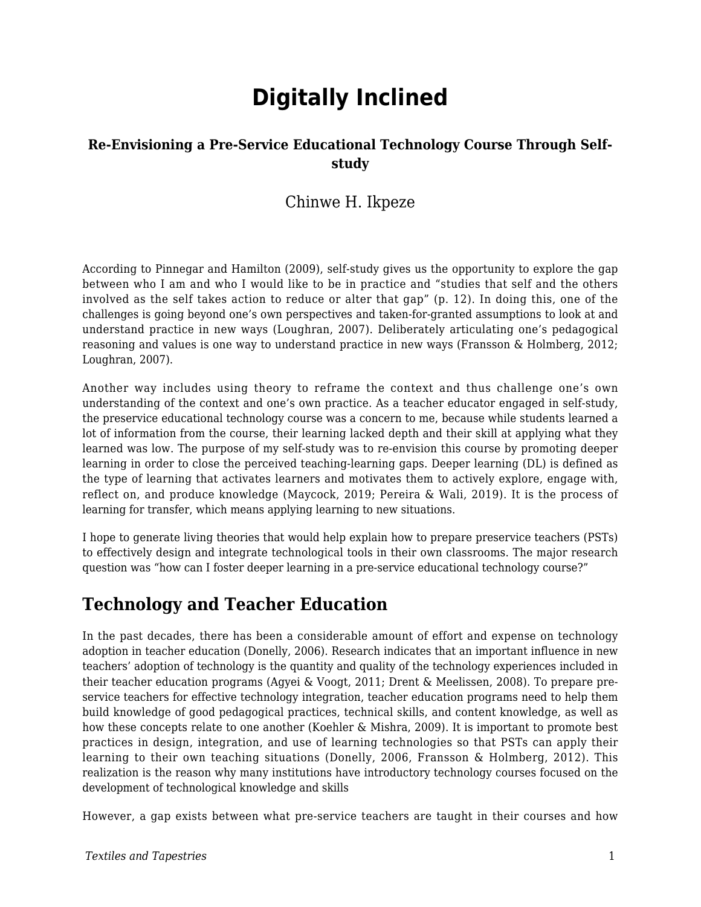# **Digitally Inclined**

#### **Re-Envisioning a Pre-Service Educational Technology Course Through Selfstudy**

### Chinwe H. Ikpeze

According to Pinnegar and Hamilton (2009), self-study gives us the opportunity to explore the gap between who I am and who I would like to be in practice and "studies that self and the others involved as the self takes action to reduce or alter that gap" (p. 12). In doing this, one of the challenges is going beyond one's own perspectives and taken-for-granted assumptions to look at and understand practice in new ways (Loughran, 2007). Deliberately articulating one's pedagogical reasoning and values is one way to understand practice in new ways (Fransson & Holmberg, 2012; Loughran, 2007).

Another way includes using theory to reframe the context and thus challenge one's own understanding of the context and one's own practice. As a teacher educator engaged in self-study, the preservice educational technology course was a concern to me, because while students learned a lot of information from the course, their learning lacked depth and their skill at applying what they learned was low. The purpose of my self-study was to re-envision this course by promoting deeper learning in order to close the perceived teaching-learning gaps. Deeper learning (DL) is defined as the type of learning that activates learners and motivates them to actively explore, engage with, reflect on, and produce knowledge (Maycock, 2019; Pereira & Wali, 2019). It is the process of learning for transfer, which means applying learning to new situations.

I hope to generate living theories that would help explain how to prepare preservice teachers (PSTs) to effectively design and integrate technological tools in their own classrooms. The major research question was "how can I foster deeper learning in a pre-service educational technology course?"

### **Technology and Teacher Education**

In the past decades, there has been a considerable amount of effort and expense on technology adoption in teacher education (Donelly, 2006). Research indicates that an important influence in new teachers' adoption of technology is the quantity and quality of the technology experiences included in their teacher education programs (Agyei & Voogt, 2011; Drent & Meelissen, 2008). To prepare preservice teachers for effective technology integration, teacher education programs need to help them build knowledge of good pedagogical practices, technical skills, and content knowledge, as well as how these concepts relate to one another (Koehler & Mishra, 2009). It is important to promote best practices in design, integration, and use of learning technologies so that PSTs can apply their learning to their own teaching situations (Donelly, 2006, Fransson & Holmberg, 2012). This realization is the reason why many institutions have introductory technology courses focused on the development of technological knowledge and skills

However, a gap exists between what pre-service teachers are taught in their courses and how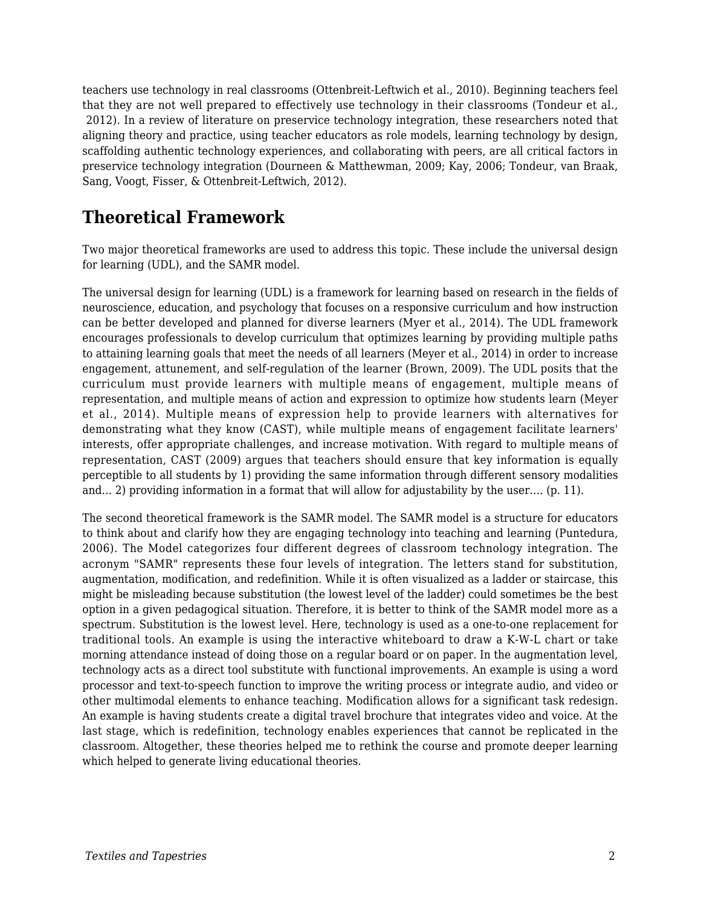teachers use technology in real classrooms (Ottenbreit-Leftwich et al., 2010). Beginning teachers feel that they are not well prepared to effectively use technology in their classrooms (Tondeur et al., 2012). In a review of literature on preservice technology integration, these researchers noted that aligning theory and practice, using teacher educators as role models, learning technology by design, scaffolding authentic technology experiences, and collaborating with peers, are all critical factors in preservice technology integration (Dourneen & Matthewman, 2009; Kay, 2006; Tondeur, van Braak, Sang, Voogt, Fisser, & Ottenbreit-Leftwich, 2012).

### **Theoretical Framework**

Two major theoretical frameworks are used to address this topic. These include the universal design for learning (UDL), and the SAMR model.

The universal design for learning (UDL) is a framework for learning based on research in the fields of neuroscience, education, and psychology that focuses on a responsive curriculum and how instruction can be better developed and planned for diverse learners (Myer et al., 2014). The UDL framework encourages professionals to develop curriculum that optimizes learning by providing multiple paths to attaining learning goals that meet the needs of all learners (Meyer et al., 2014) in order to increase engagement, attunement, and self-regulation of the learner (Brown, 2009). The UDL posits that the curriculum must provide learners with multiple means of engagement, multiple means of representation, and multiple means of action and expression to optimize how students learn (Meyer et al., 2014). Multiple means of expression help to provide learners with alternatives for demonstrating what they know (CAST), while multiple means of engagement facilitate learners' interests, offer appropriate challenges, and increase motivation. With regard to multiple means of representation, CAST (2009) argues that teachers should ensure that key information is equally perceptible to all students by 1) providing the same information through different sensory modalities and… 2) providing information in a format that will allow for adjustability by the user…. (p. 11).

The second theoretical framework is the SAMR model. The SAMR model is a structure for educators to think about and clarify how they are engaging technology into teaching and learning (Puntedura, 2006). The Model categorizes four different degrees of classroom technology integration. The acronym "SAMR" represents these four levels of integration. The letters stand for substitution, augmentation, modification, and redefinition. While it is often visualized as a ladder or staircase, this might be misleading because substitution (the lowest level of the ladder) could sometimes be the best option in a given pedagogical situation. Therefore, it is better to think of the SAMR model more as a spectrum. Substitution is the lowest level. Here, technology is used as a one-to-one replacement for traditional tools. An example is using the interactive whiteboard to draw a K-W-L chart or take morning attendance instead of doing those on a regular board or on paper. In the augmentation level, technology acts as a direct tool substitute with functional improvements. An example is using a word processor and text-to-speech function to improve the writing process or integrate audio, and video or other multimodal elements to enhance teaching. Modification allows for a significant task redesign. An example is having students create a digital travel brochure that integrates video and voice. At the last stage, which is redefinition, technology enables experiences that cannot be replicated in the classroom. Altogether, these theories helped me to rethink the course and promote deeper learning which helped to generate living educational theories.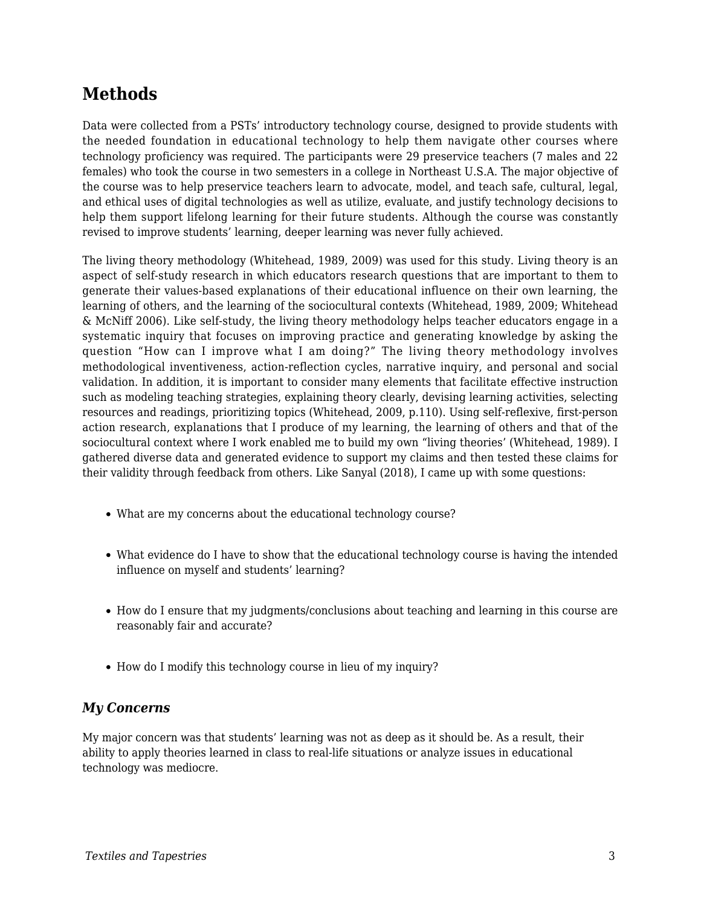## **Methods**

Data were collected from a PSTs' introductory technology course, designed to provide students with the needed foundation in educational technology to help them navigate other courses where technology proficiency was required. The participants were 29 preservice teachers (7 males and 22 females) who took the course in two semesters in a college in Northeast U.S.A. The major objective of the course was to help preservice teachers learn to advocate, model, and teach safe, cultural, legal, and ethical uses of digital technologies as well as utilize, evaluate, and justify technology decisions to help them support lifelong learning for their future students. Although the course was constantly revised to improve students' learning, deeper learning was never fully achieved.

The living theory methodology (Whitehead, 1989, 2009) was used for this study. Living theory is an aspect of self-study research in which educators research questions that are important to them to generate their values-based explanations of their educational influence on their own learning, the learning of others, and the learning of the sociocultural contexts (Whitehead, 1989, 2009; Whitehead & McNiff 2006). Like self-study, the living theory methodology helps teacher educators engage in a systematic inquiry that focuses on improving practice and generating knowledge by asking the question "How can I improve what I am doing?" The living theory methodology involves methodological inventiveness, action-reflection cycles, narrative inquiry, and personal and social validation. In addition, it is important to consider many elements that facilitate effective instruction such as modeling teaching strategies, explaining theory clearly, devising learning activities, selecting resources and readings, prioritizing topics (Whitehead, 2009, p.110). Using self-reflexive, first-person action research, explanations that I produce of my learning, the learning of others and that of the sociocultural context where I work enabled me to build my own "living theories' (Whitehead, 1989). I gathered diverse data and generated evidence to support my claims and then tested these claims for their validity through feedback from others. Like Sanyal (2018), I came up with some questions:

- What are my concerns about the educational technology course?
- What evidence do I have to show that the educational technology course is having the intended influence on myself and students' learning?
- How do I ensure that my judgments/conclusions about teaching and learning in this course are reasonably fair and accurate?
- How do I modify this technology course in lieu of my inquiry?

#### *My Concerns*

My major concern was that students' learning was not as deep as it should be. As a result, their ability to apply theories learned in class to real-life situations or analyze issues in educational technology was mediocre.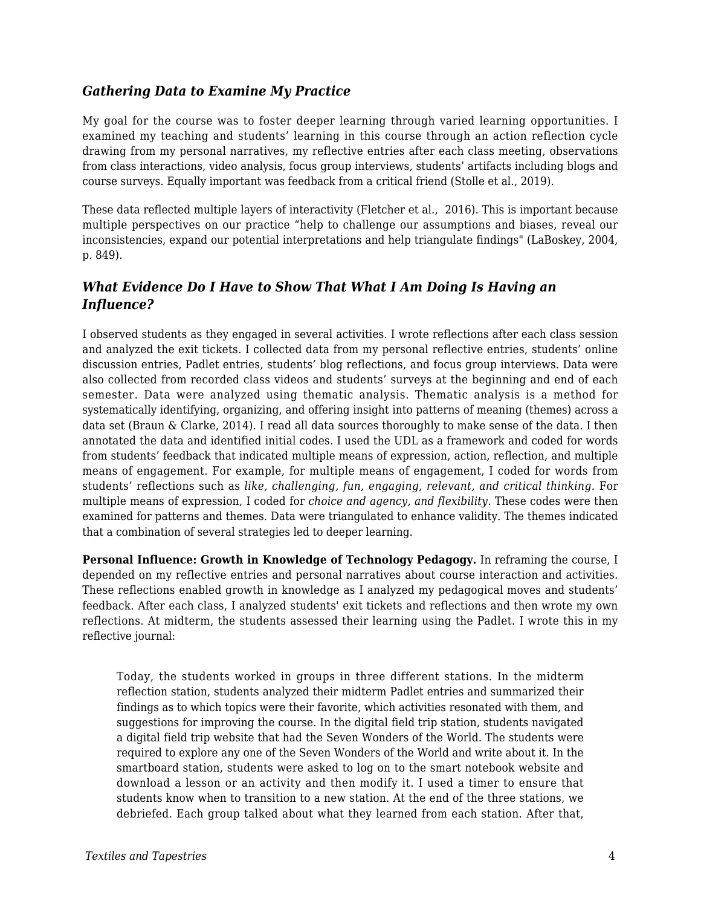#### *Gathering Data to Examine My Practice*

My goal for the course was to foster deeper learning through varied learning opportunities. I examined my teaching and students' learning in this course through an action reflection cycle drawing from my personal narratives, my reflective entries after each class meeting, observations from class interactions, video analysis, focus group interviews, students' artifacts including blogs and course surveys. Equally important was feedback from a critical friend (Stolle et al., 2019).

These data reflected multiple layers of interactivity (Fletcher et al., 2016). This is important because multiple perspectives on our practice "help to challenge our assumptions and biases, reveal our inconsistencies, expand our potential interpretations and help triangulate findings" (LaBoskey, 2004, p. 849).

#### *What Evidence Do I Have to Show That What I Am Doing Is Having an Influence?*

I observed students as they engaged in several activities. I wrote reflections after each class session and analyzed the exit tickets. I collected data from my personal reflective entries, students' online discussion entries, Padlet entries, students' blog reflections, and focus group interviews. Data were also collected from recorded class videos and students' surveys at the beginning and end of each semester. Data were analyzed using thematic analysis. Thematic analysis is a method for systematically identifying, organizing, and offering insight into patterns of meaning (themes) across a data set (Braun & Clarke, 2014). I read all data sources thoroughly to make sense of the data. I then annotated the data and identified initial codes. I used the UDL as a framework and coded for words from students' feedback that indicated multiple means of expression, action, reflection, and multiple means of engagement. For example, for multiple means of engagement, I coded for words from students' reflections such as *like, challenging, fun, engaging, relevant, and critical thinking.* For multiple means of expression, I coded for *choice and agency, and flexibility*. These codes were then examined for patterns and themes. Data were triangulated to enhance validity. The themes indicated that a combination of several strategies led to deeper learning.

**Personal Influence: Growth in Knowledge of Technology Pedagogy.** In reframing the course, I depended on my reflective entries and personal narratives about course interaction and activities. These reflections enabled growth in knowledge as I analyzed my pedagogical moves and students' feedback. After each class, I analyzed students' exit tickets and reflections and then wrote my own reflections. At midterm, the students assessed their learning using the Padlet. I wrote this in my reflective journal:

Today, the students worked in groups in three different stations. In the midterm reflection station, students analyzed their midterm Padlet entries and summarized their findings as to which topics were their favorite, which activities resonated with them, and suggestions for improving the course. In the digital field trip station, students navigated a digital field trip website that had the Seven Wonders of the World. The students were required to explore any one of the Seven Wonders of the World and write about it. In the smartboard station, students were asked to log on to the smart notebook website and download a lesson or an activity and then modify it. I used a timer to ensure that students know when to transition to a new station. At the end of the three stations, we debriefed. Each group talked about what they learned from each station. After that,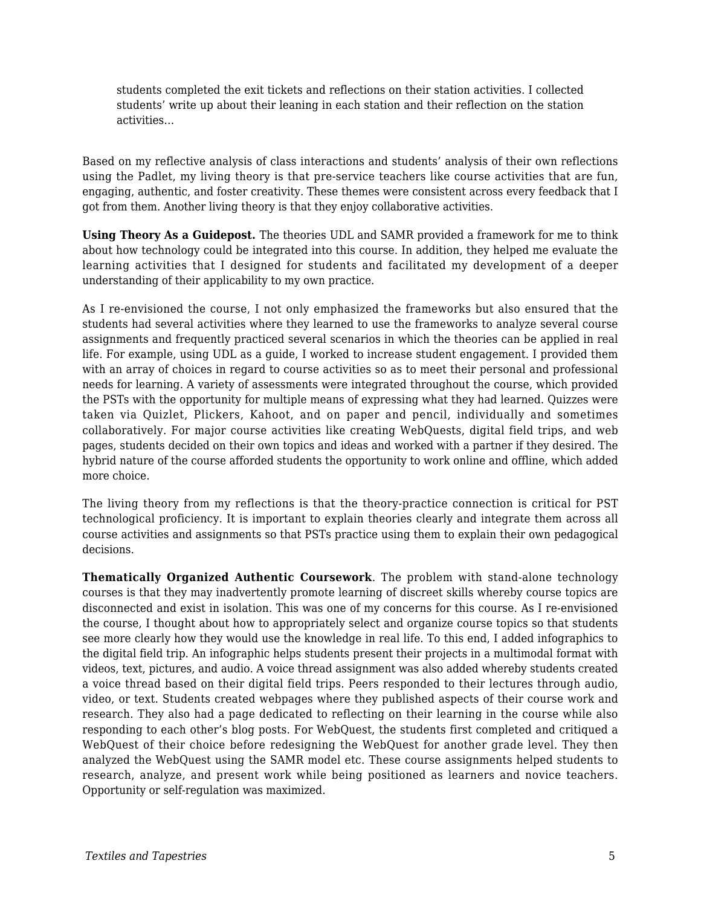students completed the exit tickets and reflections on their station activities. I collected students' write up about their leaning in each station and their reflection on the station activities…

Based on my reflective analysis of class interactions and students' analysis of their own reflections using the Padlet, my living theory is that pre-service teachers like course activities that are fun, engaging, authentic, and foster creativity. These themes were consistent across every feedback that I got from them. Another living theory is that they enjoy collaborative activities.

**Using Theory As a Guidepost.** The theories UDL and SAMR provided a framework for me to think about how technology could be integrated into this course. In addition, they helped me evaluate the learning activities that I designed for students and facilitated my development of a deeper understanding of their applicability to my own practice.

As I re-envisioned the course, I not only emphasized the frameworks but also ensured that the students had several activities where they learned to use the frameworks to analyze several course assignments and frequently practiced several scenarios in which the theories can be applied in real life. For example, using UDL as a guide, I worked to increase student engagement. I provided them with an array of choices in regard to course activities so as to meet their personal and professional needs for learning. A variety of assessments were integrated throughout the course, which provided the PSTs with the opportunity for multiple means of expressing what they had learned. Quizzes were taken via Quizlet, Plickers, Kahoot, and on paper and pencil, individually and sometimes collaboratively. For major course activities like creating WebQuests, digital field trips, and web pages, students decided on their own topics and ideas and worked with a partner if they desired. The hybrid nature of the course afforded students the opportunity to work online and offline, which added more choice.

The living theory from my reflections is that the theory-practice connection is critical for PST technological proficiency. It is important to explain theories clearly and integrate them across all course activities and assignments so that PSTs practice using them to explain their own pedagogical decisions.

**Thematically Organized Authentic Coursework**. The problem with stand-alone technology courses is that they may inadvertently promote learning of discreet skills whereby course topics are disconnected and exist in isolation. This was one of my concerns for this course. As I re-envisioned the course, I thought about how to appropriately select and organize course topics so that students see more clearly how they would use the knowledge in real life. To this end, I added infographics to the digital field trip. An infographic helps students present their projects in a multimodal format with videos, text, pictures, and audio. A voice thread assignment was also added whereby students created a voice thread based on their digital field trips. Peers responded to their lectures through audio, video, or text. Students created webpages where they published aspects of their course work and research. They also had a page dedicated to reflecting on their learning in the course while also responding to each other's blog posts. For WebQuest, the students first completed and critiqued a WebQuest of their choice before redesigning the WebQuest for another grade level. They then analyzed the WebQuest using the SAMR model etc. These course assignments helped students to research, analyze, and present work while being positioned as learners and novice teachers. Opportunity or self-regulation was maximized.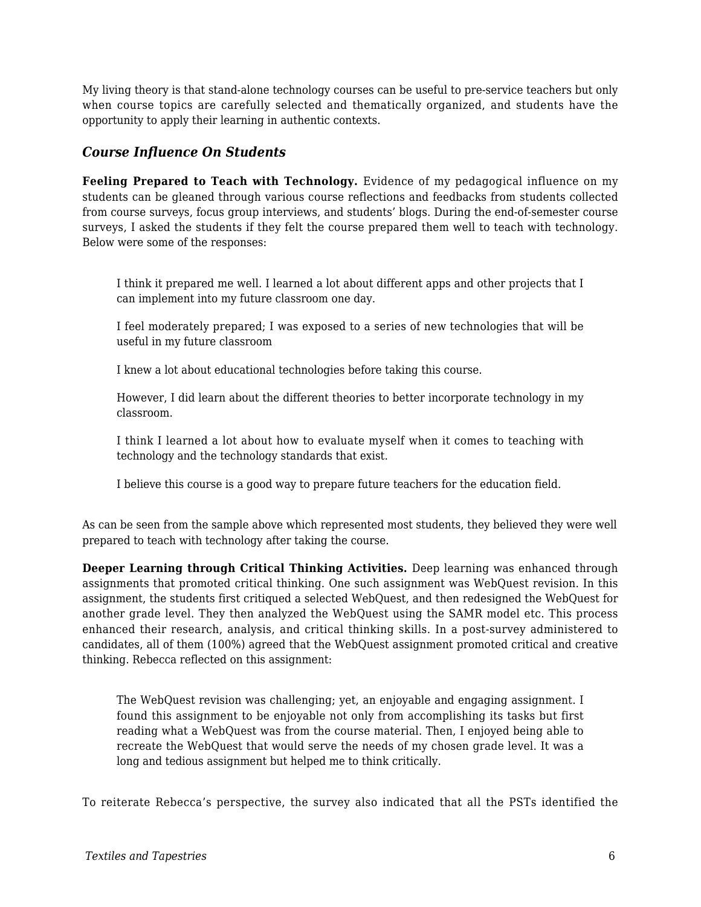My living theory is that stand-alone technology courses can be useful to pre-service teachers but only when course topics are carefully selected and thematically organized, and students have the opportunity to apply their learning in authentic contexts.

#### *Course Influence On Students*

**Feeling Prepared to Teach with Technology.** Evidence of my pedagogical influence on my students can be gleaned through various course reflections and feedbacks from students collected from course surveys, focus group interviews, and students' blogs. During the end-of-semester course surveys, I asked the students if they felt the course prepared them well to teach with technology. Below were some of the responses:

I think it prepared me well. I learned a lot about different apps and other projects that I can implement into my future classroom one day.

I feel moderately prepared; I was exposed to a series of new technologies that will be useful in my future classroom

I knew a lot about educational technologies before taking this course.

However, I did learn about the different theories to better incorporate technology in my classroom.

I think I learned a lot about how to evaluate myself when it comes to teaching with technology and the technology standards that exist.

I believe this course is a good way to prepare future teachers for the education field.

As can be seen from the sample above which represented most students, they believed they were well prepared to teach with technology after taking the course.

**Deeper Learning through Critical Thinking Activities.** Deep learning was enhanced through assignments that promoted critical thinking. One such assignment was WebQuest revision. In this assignment, the students first critiqued a selected WebQuest, and then redesigned the WebQuest for another grade level. They then analyzed the WebQuest using the SAMR model etc. This process enhanced their research, analysis, and critical thinking skills. In a post-survey administered to candidates, all of them (100%) agreed that the WebQuest assignment promoted critical and creative thinking. Rebecca reflected on this assignment:

The WebQuest revision was challenging; yet, an enjoyable and engaging assignment. I found this assignment to be enjoyable not only from accomplishing its tasks but first reading what a WebQuest was from the course material. Then, I enjoyed being able to recreate the WebQuest that would serve the needs of my chosen grade level. It was a long and tedious assignment but helped me to think critically.

To reiterate Rebecca's perspective, the survey also indicated that all the PSTs identified the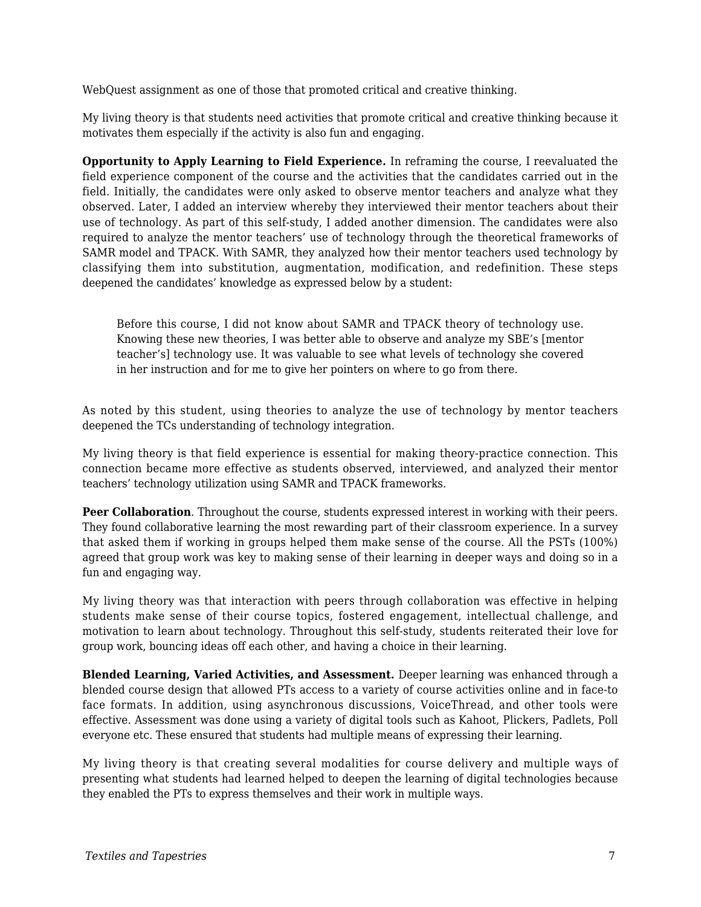WebQuest assignment as one of those that promoted critical and creative thinking.

My living theory is that students need activities that promote critical and creative thinking because it motivates them especially if the activity is also fun and engaging.

**Opportunity to Apply Learning to Field Experience.** In reframing the course, I reevaluated the field experience component of the course and the activities that the candidates carried out in the field. Initially, the candidates were only asked to observe mentor teachers and analyze what they observed. Later, I added an interview whereby they interviewed their mentor teachers about their use of technology. As part of this self-study, I added another dimension. The candidates were also required to analyze the mentor teachers' use of technology through the theoretical frameworks of SAMR model and TPACK. With SAMR, they analyzed how their mentor teachers used technology by classifying them into substitution, augmentation, modification, and redefinition. These steps deepened the candidates' knowledge as expressed below by a student:

Before this course, I did not know about SAMR and TPACK theory of technology use. Knowing these new theories, I was better able to observe and analyze my SBE's [mentor teacher's] technology use. It was valuable to see what levels of technology she covered in her instruction and for me to give her pointers on where to go from there.

As noted by this student, using theories to analyze the use of technology by mentor teachers deepened the TCs understanding of technology integration.

My living theory is that field experience is essential for making theory-practice connection. This connection became more effective as students observed, interviewed, and analyzed their mentor teachers' technology utilization using SAMR and TPACK frameworks.

**Peer Collaboration**. Throughout the course, students expressed interest in working with their peers. They found collaborative learning the most rewarding part of their classroom experience. In a survey that asked them if working in groups helped them make sense of the course. All the PSTs (100%) agreed that group work was key to making sense of their learning in deeper ways and doing so in a fun and engaging way.

My living theory was that interaction with peers through collaboration was effective in helping students make sense of their course topics, fostered engagement, intellectual challenge, and motivation to learn about technology. Throughout this self-study, students reiterated their love for group work, bouncing ideas off each other, and having a choice in their learning.

**Blended Learning, Varied Activities, and Assessment.** Deeper learning was enhanced through a blended course design that allowed PTs access to a variety of course activities online and in face-to face formats. In addition, using asynchronous discussions, VoiceThread, and other tools were effective. Assessment was done using a variety of digital tools such as Kahoot, Plickers, Padlets, Poll everyone etc. These ensured that students had multiple means of expressing their learning.

My living theory is that creating several modalities for course delivery and multiple ways of presenting what students had learned helped to deepen the learning of digital technologies because they enabled the PTs to express themselves and their work in multiple ways.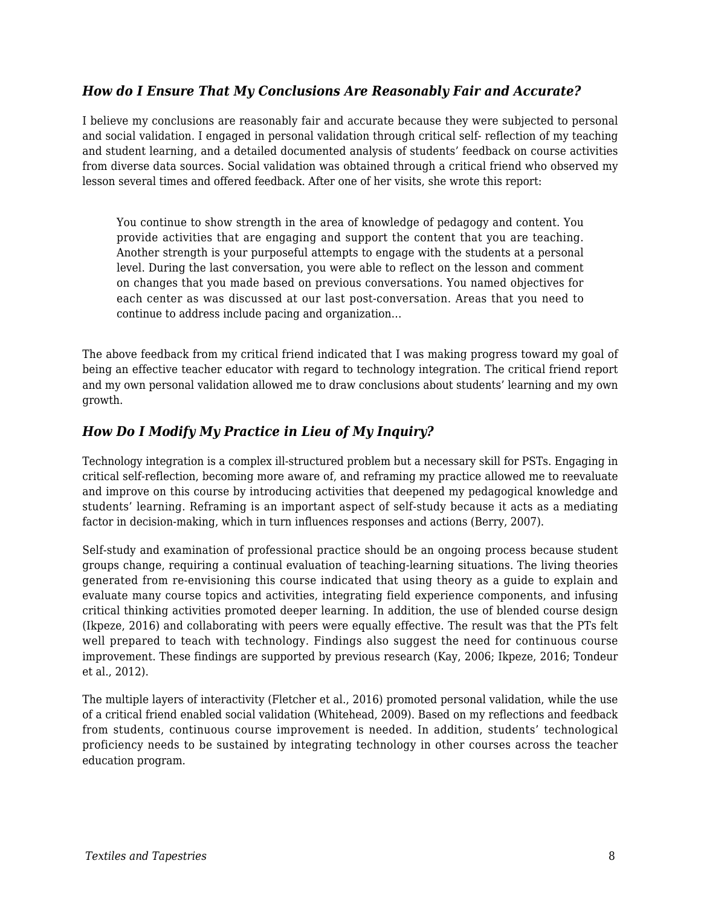#### *How do I Ensure That My Conclusions Are Reasonably Fair and Accurate?*

I believe my conclusions are reasonably fair and accurate because they were subjected to personal and social validation. I engaged in personal validation through critical self- reflection of my teaching and student learning, and a detailed documented analysis of students' feedback on course activities from diverse data sources. Social validation was obtained through a critical friend who observed my lesson several times and offered feedback. After one of her visits, she wrote this report:

You continue to show strength in the area of knowledge of pedagogy and content. You provide activities that are engaging and support the content that you are teaching. Another strength is your purposeful attempts to engage with the students at a personal level. During the last conversation, you were able to reflect on the lesson and comment on changes that you made based on previous conversations. You named objectives for each center as was discussed at our last post-conversation. Areas that you need to continue to address include pacing and organization…

The above feedback from my critical friend indicated that I was making progress toward my goal of being an effective teacher educator with regard to technology integration. The critical friend report and my own personal validation allowed me to draw conclusions about students' learning and my own growth.

#### *How Do I Modify My Practice in Lieu of My Inquiry?*

Technology integration is a complex ill-structured problem but a necessary skill for PSTs. Engaging in critical self-reflection, becoming more aware of, and reframing my practice allowed me to reevaluate and improve on this course by introducing activities that deepened my pedagogical knowledge and students' learning. Reframing is an important aspect of self-study because it acts as a mediating factor in decision-making, which in turn influences responses and actions (Berry, 2007).

Self-study and examination of professional practice should be an ongoing process because student groups change, requiring a continual evaluation of teaching-learning situations. The living theories generated from re-envisioning this course indicated that using theory as a guide to explain and evaluate many course topics and activities, integrating field experience components, and infusing critical thinking activities promoted deeper learning. In addition, the use of blended course design (Ikpeze, 2016) and collaborating with peers were equally effective. The result was that the PTs felt well prepared to teach with technology. Findings also suggest the need for continuous course improvement. These findings are supported by previous research (Kay, 2006; Ikpeze, 2016; Tondeur et al., 2012).

The multiple layers of interactivity (Fletcher et al., 2016) promoted personal validation, while the use of a critical friend enabled social validation (Whitehead, 2009). Based on my reflections and feedback from students, continuous course improvement is needed. In addition, students' technological proficiency needs to be sustained by integrating technology in other courses across the teacher education program.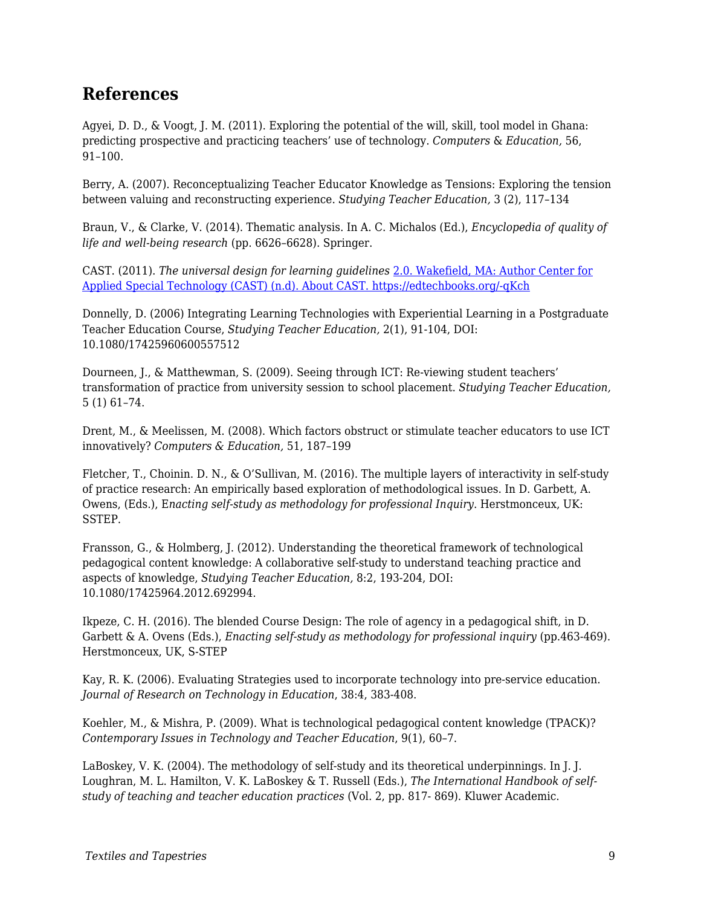### **References**

Agyei, D. D., & Voogt, J. M. (2011). Exploring the potential of the will, skill, tool model in Ghana: predicting prospective and practicing teachers' use of technology. *Computers* & *Education,* 56, 91–100.

Berry, A. (2007). Reconceptualizing Teacher Educator Knowledge as Tensions: Exploring the tension between valuing and reconstructing experience. *Studying Teacher Education,* 3 (2), 117–134

Braun, V., & Clarke, V. (2014). Thematic analysis. In A. C. Michalos (Ed.), *Encyclopedia of quality of life and well-being research* (pp. 6626–6628). Springer.

CAST. (2011). *The universal design for learning guidelines* [2.0. Wakefield, MA: Author Center for](http://www.cast.org/about/index.html) [Applied Special Technology \(CAST\) \(n.d\). About CAST. https://edtechbooks.org/-qKch](http://www.cast.org/about/index.html)

Donnelly, D. (2006) Integrating Learning Technologies with Experiential Learning in a Postgraduate Teacher Education Course, *Studying Teacher Education,* 2(1), 91-104, DOI: 10.1080/17425960600557512

Dourneen, J., & Matthewman, S. (2009). Seeing through ICT: Re-viewing student teachers' transformation of practice from university session to school placement. *Studying Teacher Education,* 5 (1) 61–74.

Drent, M., & Meelissen, M. (2008). Which factors obstruct or stimulate teacher educators to use ICT innovatively? *Computers & Education,* 51, 187–199

Fletcher, T., Choinin. D. N., & O'Sullivan, M. (2016). The multiple layers of interactivity in self-study of practice research: An empirically based exploration of methodological issues. In D. Garbett, A. Owens, (Eds.), E*nacting self-study as methodology for professional Inquiry*. Herstmonceux, UK: SSTEP.

Fransson, G., & Holmberg, J. (2012). Understanding the theoretical framework of technological pedagogical content knowledge: A collaborative self-study to understand teaching practice and aspects of knowledge, *Studying Teacher Education,* 8:2, 193-204, DOI: 10.1080/17425964.2012.692994.

Ikpeze, C. H. (2016). The blended Course Design: The role of agency in a pedagogical shift, in D. Garbett & A. Ovens (Eds.), *Enacting self-study as methodology for professional inquiry* (pp.463-469). Herstmonceux, UK, S-STEP

Kay, R. K. (2006). Evaluating Strategies used to incorporate technology into pre-service education. *Journal of Research on Technology in Education*, 38:4, 383-408.

Koehler, M., & Mishra, P. (2009). What is technological pedagogical content knowledge (TPACK)? *Contemporary Issues in Technology and Teacher Education*, 9(1), 60–7.

LaBoskey, V. K. (2004). The methodology of self-study and its theoretical underpinnings. In J. J. Loughran, M. L. Hamilton, V. K. LaBoskey & T. Russell (Eds.), *The International Handbook of selfstudy of teaching and teacher education practices* (Vol. 2, pp. 817- 869). Kluwer Academic.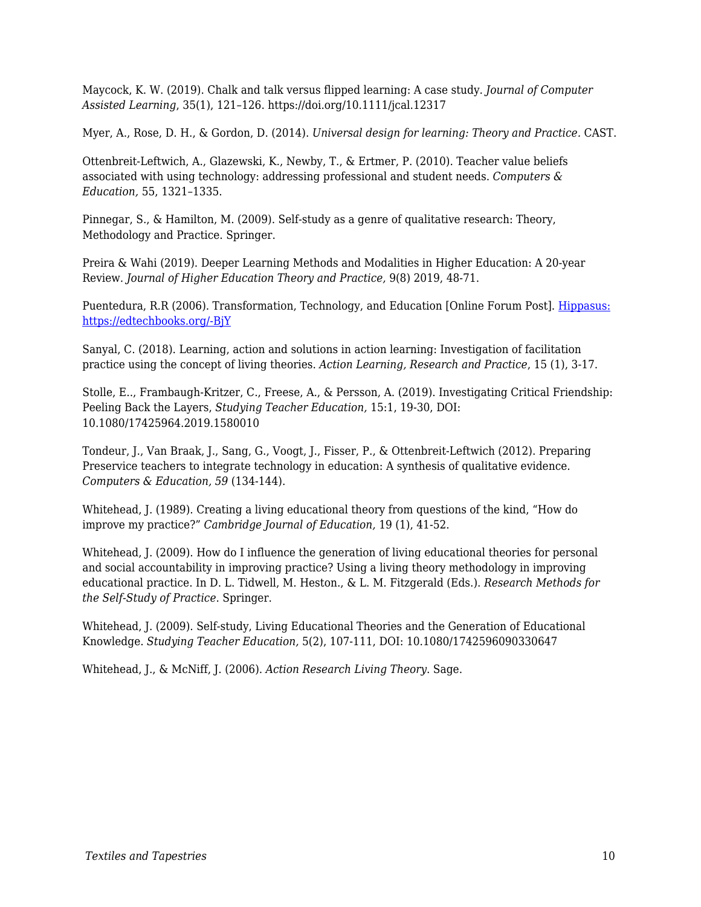Maycock, K. W. (2019). Chalk and talk versus flipped learning: A case study. *Journal of Computer Assisted Learning*, 35(1), 121–126. https://doi.org/10.1111/jcal.12317

Myer, A., Rose, D. H., & Gordon, D. (2014). *Universal design for learning: Theory and Practice.* CAST.

Ottenbreit-Leftwich, A., Glazewski, K., Newby, T., & Ertmer, P. (2010). Teacher value beliefs associated with using technology: addressing professional and student needs. *Computers & Education,* 55, 1321–1335.

Pinnegar, S., & Hamilton, M. (2009). Self-study as a genre of qualitative research: Theory, Methodology and Practice. Springer.

Preira & Wahi (2019). Deeper Learning Methods and Modalities in Higher Education: A 20-year Review*. Journal of Higher Education Theory and Practice,* 9(8) 2019, 48-71.

Puentedura, R.R (2006). Transformation, Technology, and Education [Online Forum Post]. [Hippasus:](http://hippasus.com/resources/tte/) [https://edtechbooks.org/-BjY](http://hippasus.com/resources/tte/)

Sanyal, C. (2018). Learning, action and solutions in action learning: Investigation of facilitation practice using the concept of living theories. *Action Learning, Research and Practice*, 15 (1), 3-17.

Stolle, E.., Frambaugh-Kritzer, C., Freese, A., & Persson, A. (2019). Investigating Critical Friendship: Peeling Back the Layers, *Studying Teacher Education,* 15:1, 19-30, DOI: 10.1080/17425964.2019.1580010

Tondeur, J., Van Braak, J., Sang, G., Voogt, J., Fisser, P., & Ottenbreit-Leftwich (2012). Preparing Preservice teachers to integrate technology in education: A synthesis of qualitative evidence. *Computers & Education, 59* (134-144).

Whitehead, J. (1989). Creating a living educational theory from questions of the kind, "How do improve my practice?" *Cambridge Journal of Education,* 19 (1), 41-52.

Whitehead, J. (2009). How do I influence the generation of living educational theories for personal and social accountability in improving practice? Using a living theory methodology in improving educational practice. In D. L. Tidwell, M. Heston., & L. M. Fitzgerald (Eds.). *Research Methods for the Self-Study of Practice*. Springer.

Whitehead, J. (2009). Self-study, Living Educational Theories and the Generation of Educational Knowledge. *Studying Teacher Education,* 5(2), 107-111, DOI: 10.1080/1742596090330647

Whitehead, J., & McNiff, J. (2006). *Action Research Living Theory*. Sage.